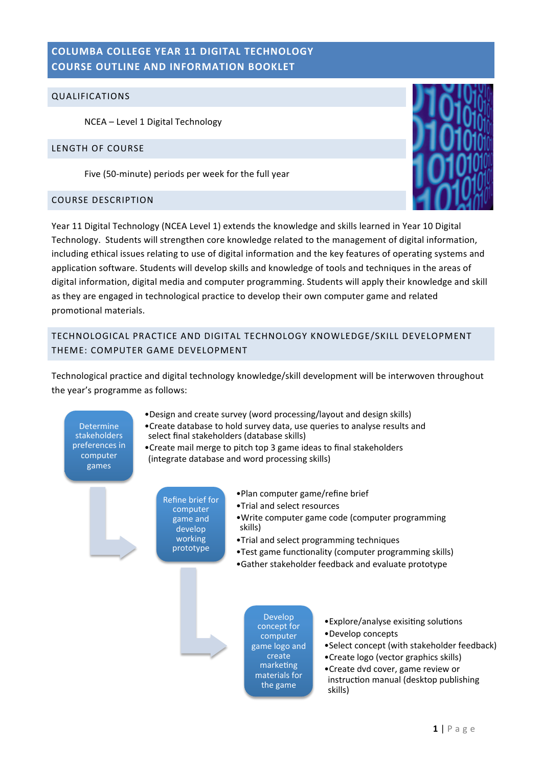# **COLUMBA COLLEGE YEAR 11 DIGITAL TECHNOLOGY COURSE OUTLINE AND INFORMATION BOOKLET**

### QUALIFICATIONS

NCEA - Level 1 Digital Technology

#### LENGTH OF COURSE

Five (50-minute) periods per week for the full year

## COURSE DESCRIPTION



Year 11 Digital Technology (NCEA Level 1) extends the knowledge and skills learned in Year 10 Digital Technology. Students will strengthen core knowledge related to the management of digital information, including ethical issues relating to use of digital information and the key features of operating systems and application software. Students will develop skills and knowledge of tools and techniques in the areas of digital information, digital media and computer programming. Students will apply their knowledge and skill as they are engaged in technological practice to develop their own computer game and related promotional materials.

# TECHNOLOGICAL PRACTICE AND DIGITAL TECHNOLOGY KNOWLEDGE/SKILL DEVELOPMENT THEME: COMPUTER GAME DEVELOPMENT

Technological practice and digital technology knowledge/skill development will be interwoven throughout the year's programme as follows:

**Determine** stakeholders preferences in computer games 

- •Design and create survey (word processing/layout and design skills)
- •Create database to hold survey data, use queries to analyse results and select final stakeholders (database skills)
- Create mail merge to pitch top 3 game ideas to final stakeholders (integrate database and word processing skills)
	- **Refine brief for** computer game and develop working prototype
- •Plan computer game/refine brief
- •Trial and select resources
- Write computer game code (computer programming skills)
- •Trial and select programming techniques
- •Test game functionality (computer programming skills)
- •Gather stakeholder feedback and evaluate prototype

Develop concept for computer game logo and create marketing materials for the game

- Explore/analyse exisiting solutions
- •Develop concepts
- Select concept (with stakeholder feedback)
- •Create logo (vector graphics skills)
- •Create dvd cover, game review or instruction manual (desktop publishing skills)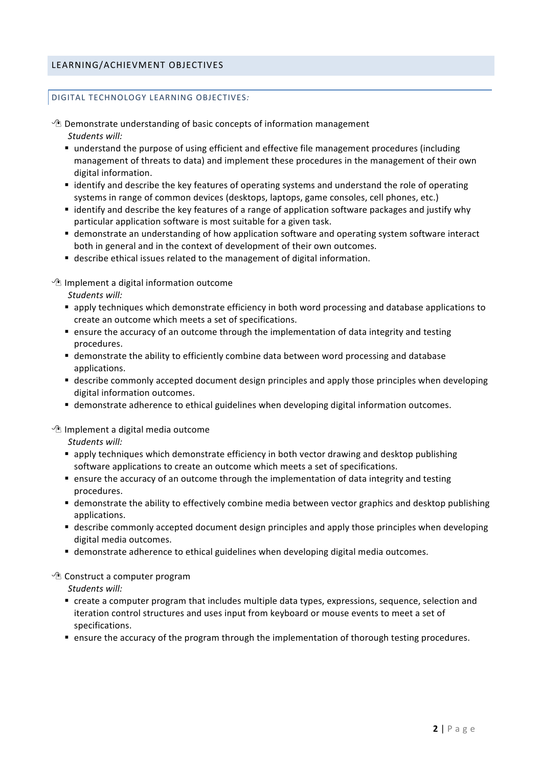## LEARNING/ACHIEVMENT OBJECTIVES

#### DIGITAL TECHNOLOGY LEARNING OBJECTIVES:

 $\Diamond$  Demonstrate understanding of basic concepts of information management Students will:

- understand the purpose of using efficient and effective file management procedures (including management of threats to data) and implement these procedures in the management of their own digital information.
- identify and describe the key features of operating systems and understand the role of operating systems in range of common devices (desktops, laptops, game consoles, cell phones, etc.)
- identify and describe the key features of a range of application software packages and justify why particular application software is most suitable for a given task.
- **Example 1** demonstrate an understanding of how application software and operating system software interact both in general and in the context of development of their own outcomes.
- describe ethical issues related to the management of digital information.

 $\sqrt{2}$  Implement a digital information outcome

*Students will:*

- **E** apply techniques which demonstrate efficiency in both word processing and database applications to create an outcome which meets a set of specifications.
- **Example 1** ensure the accuracy of an outcome through the implementation of data integrity and testing procedures.
- demonstrate the ability to efficiently combine data between word processing and database applications.
- **Example 3** describe commonly accepted document design principles and apply those principles when developing digital information outcomes.
- **EX demonstrate adherence to ethical guidelines when developing digital information outcomes.**

 $\sqrt{2}$  Implement a digital media outcome

*Students will:*

- **E** apply techniques which demonstrate efficiency in both vector drawing and desktop publishing software applications to create an outcome which meets a set of specifications.
- **Example 1** ensure the accuracy of an outcome through the implementation of data integrity and testing procedures.
- **Example 1** demonstrate the ability to effectively combine media between vector graphics and desktop publishing applications.
- **Example 3** describe commonly accepted document design principles and apply those principles when developing digital media outcomes.
- **EX demonstrate adherence to ethical guidelines when developing digital media outcomes.**

## $\sqrt{2}$  Construct a computer program

*Students will:*

- create a computer program that includes multiple data types, expressions, sequence, selection and iteration control structures and uses input from keyboard or mouse events to meet a set of specifications.
- **Example 1** ensure the accuracy of the program through the implementation of thorough testing procedures.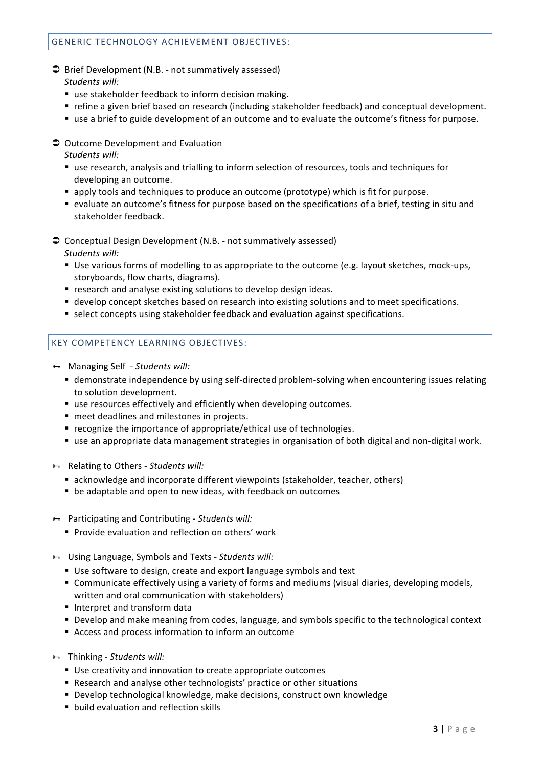## GENERIC TECHNOLOGY ACHIEVEMENT OBJECTIVES:

- $\supset$  Brief Development (N.B. not summatively assessed) *Students will:*
	- use stakeholder feedback to inform decision making.
	- refine a given brief based on research (including stakeholder feedback) and conceptual development.
	- use a brief to guide development of an outcome and to evaluate the outcome's fitness for purpose.
- $\supset$  Outcome Development and Evaluation

Students will:

- use research, analysis and trialling to inform selection of resources, tools and techniques for developing an outcome.
- **E** apply tools and techniques to produce an outcome (prototype) which is fit for purpose.
- **Example 2** evaluate an outcome's fitness for purpose based on the specifications of a brief, testing in situ and stakeholder feedback.
- $\supset$  Conceptual Design Development (N.B. not summatively assessed) *Students will:*
	- Use various forms of modelling to as appropriate to the outcome (e.g. layout sketches, mock-ups, storyboards, flow charts, diagrams).
	- **F** research and analyse existing solutions to develop design ideas.
	- **Example 2** develop concept sketches based on research into existing solutions and to meet specifications.
	- select concepts using stakeholder feedback and evaluation against specifications.

## KEY COMPETENCY LEARNING OBJECTIVES:

- **H** Managing Self *Students will:* 
	- **Example 1** demonstrate independence by using self-directed problem-solving when encountering issues relating to solution development.
	- $\blacksquare$  use resources effectively and efficiently when developing outcomes.
	- **n** meet deadlines and milestones in projects.
	- $\blacksquare$  recognize the importance of appropriate/ethical use of technologies.
	- use an appropriate data management strategies in organisation of both digital and non-digital work.
- **B- Relating to Others Students will:** 
	- acknowledge and incorporate different viewpoints (stakeholder, teacher, others)
	- $\blacksquare$  be adaptable and open to new ideas, with feedback on outcomes
- **B** Participating and Contributing *Students will:* 
	- **Provide evaluation and reflection on others' work**
- $\rightarrow$  Using Language, Symbols and Texts *Students will:* 
	- Use software to design, create and export language symbols and text
	- **EX Communicate effectively using a variety of forms and mediums (visual diaries, developing models,** written and oral communication with stakeholders)
	- Interpret and transform data
	- Develop and make meaning from codes, language, and symbols specific to the technological context
	- Access and process information to inform an outcome
- **B** Thinking *Students will:* 
	- Use creativity and innovation to create appropriate outcomes
	- Research and analyse other technologists' practice or other situations
	- Develop technological knowledge, make decisions, construct own knowledge
	- **build evaluation and reflection skills**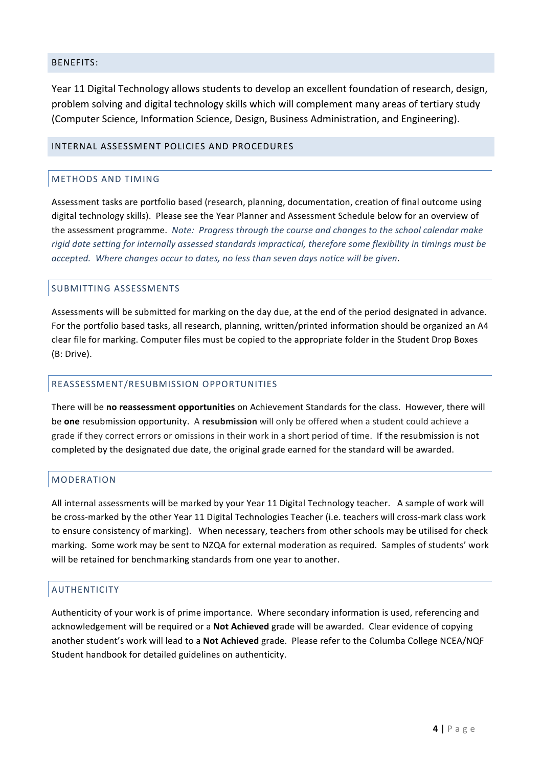### BENEFITS:

Year 11 Digital Technology allows students to develop an excellent foundation of research, design, problem solving and digital technology skills which will complement many areas of tertiary study (Computer Science, Information Science, Design, Business Administration, and Engineering).

#### INTERNAL ASSESSMENT POLICIES AND PROCEDURES

## METHODS AND TIMING

Assessment tasks are portfolio based (research, planning, documentation, creation of final outcome using digital technology skills). Please see the Year Planner and Assessment Schedule below for an overview of the assessment programme. Note: Progress through the course and changes to the school calendar make rigid date setting for internally assessed standards impractical, therefore some flexibility in timings must be *accepted.* Where changes occur to dates, no less than seven days notice will be given.

#### SUBMITTING ASSESSMENTS

Assessments will be submitted for marking on the day due, at the end of the period designated in advance. For the portfolio based tasks, all research, planning, written/printed information should be organized an A4 clear file for marking. Computer files must be copied to the appropriate folder in the Student Drop Boxes (B: Drive).

#### REASSESSMENT/RESUBMISSION OPPORTUNITIES

There will be no reassessment opportunities on Achievement Standards for the class. However, there will be **one** resubmission opportunity. A resubmission will only be offered when a student could achieve a grade if they correct errors or omissions in their work in a short period of time. If the resubmission is not completed by the designated due date, the original grade earned for the standard will be awarded.

## MODERATION

All internal assessments will be marked by your Year 11 Digital Technology teacher. A sample of work will be cross-marked by the other Year 11 Digital Technologies Teacher (i.e. teachers will cross-mark class work to ensure consistency of marking). When necessary, teachers from other schools may be utilised for check marking. Some work may be sent to NZQA for external moderation as required. Samples of students' work will be retained for benchmarking standards from one year to another.

## AUTHENTICITY

Authenticity of your work is of prime importance. Where secondary information is used, referencing and acknowledgement will be required or a **Not Achieved** grade will be awarded. Clear evidence of copying another student's work will lead to a Not Achieved grade. Please refer to the Columba College NCEA/NQF Student handbook for detailed guidelines on authenticity.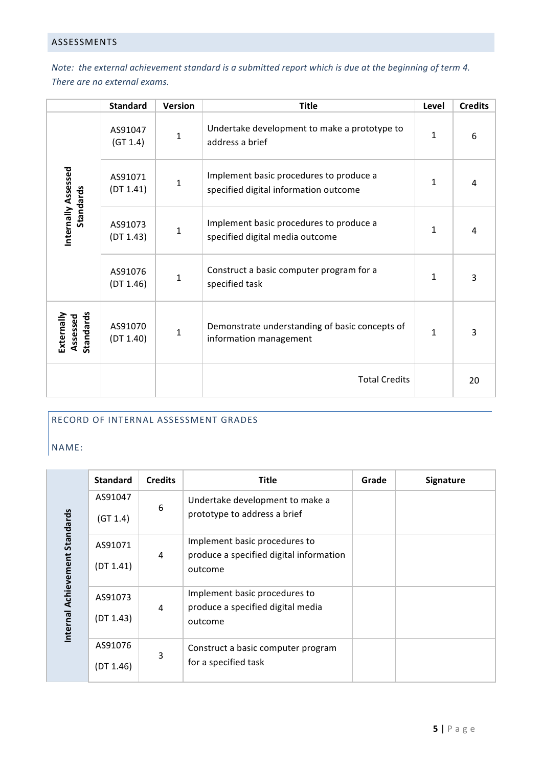# ASSESSMENTS

*Note:* the external achievement standard is a submitted report which is due at the beginning of term 4. There are no external exams.

|                                     | <b>Standard</b>      | Version | <b>Title</b>                                                                     | Level        | <b>Credits</b> |
|-------------------------------------|----------------------|---------|----------------------------------------------------------------------------------|--------------|----------------|
| Internally Assessed<br>Standards    | AS91047<br>(GT 1.4)  | 1       | Undertake development to make a prototype to<br>address a brief                  | 1            | 6              |
|                                     | AS91071<br>(DT 1.41) | 1       | Implement basic procedures to produce a<br>specified digital information outcome | 1            | 4              |
|                                     | AS91073<br>(DT 1.43) | 1       | Implement basic procedures to produce a<br>specified digital media outcome       | 1            | 4              |
|                                     | AS91076<br>(DT 1.46) | 1       | Construct a basic computer program for a<br>specified task                       | 1            | 3              |
| Standards<br>Externally<br>Assessed | AS91070<br>(DT 1.40) | 1       | Demonstrate understanding of basic concepts of<br>information management         | $\mathbf{1}$ | 3              |
|                                     |                      |         | <b>Total Credits</b>                                                             |              | 20             |

## RECORD OF INTERNAL ASSESSMENT GRADES

NAME:

|                                | <b>Standard</b>      | <b>Credits</b> | <b>Title</b>                                                                        | Grade | <b>Signature</b> |
|--------------------------------|----------------------|----------------|-------------------------------------------------------------------------------------|-------|------------------|
| Internal Achievement Standards | AS91047<br>(GT 1.4)  | 6              | Undertake development to make a<br>prototype to address a brief                     |       |                  |
|                                | AS91071<br>(DT 1.41) | 4              | Implement basic procedures to<br>produce a specified digital information<br>outcome |       |                  |
|                                | AS91073<br>(DT 1.43) | 4              | Implement basic procedures to<br>produce a specified digital media<br>outcome       |       |                  |
|                                | AS91076<br>(DT 1.46) | 3              | Construct a basic computer program<br>for a specified task                          |       |                  |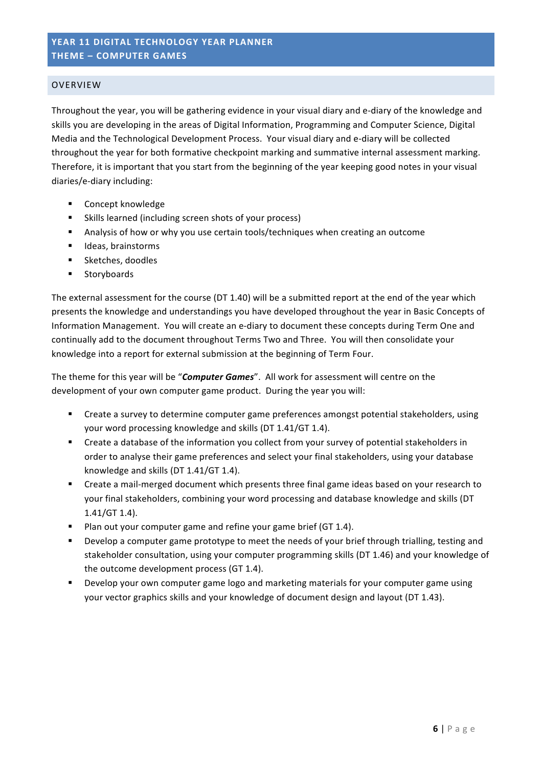# YEAR 11 DIGITAL TECHNOLOGY YEAR PLANNER **THEME – COMPUTER GAMES**

#### OVERVIEW

Throughout the year, you will be gathering evidence in your visual diary and e-diary of the knowledge and skills you are developing in the areas of Digital Information, Programming and Computer Science, Digital Media and the Technological Development Process. Your visual diary and e-diary will be collected throughout the year for both formative checkpoint marking and summative internal assessment marking. Therefore, it is important that you start from the beginning of the year keeping good notes in your visual diaries/e-diary including:

- **E** Concept knowledge
- Skills learned (including screen shots of your process)
- **Analysis of how or why you use certain tools/techniques when creating an outcome**
- **IDEAS**, brainstorms
- **E** Sketches, doodles
- **Storyboards**

The external assessment for the course (DT 1.40) will be a submitted report at the end of the year which presents the knowledge and understandings you have developed throughout the year in Basic Concepts of Information Management. You will create an e-diary to document these concepts during Term One and continually add to the document throughout Terms Two and Three. You will then consolidate your knowledge into a report for external submission at the beginning of Term Four.

The theme for this year will be "Computer Games". All work for assessment will centre on the development of your own computer game product. During the year you will:

- Create a survey to determine computer game preferences amongst potential stakeholders, using your word processing knowledge and skills (DT 1.41/GT 1.4).
- " Create a database of the information you collect from your survey of potential stakeholders in order to analyse their game preferences and select your final stakeholders, using your database knowledge and skills (DT 1.41/GT 1.4).
- Create a mail-merged document which presents three final game ideas based on your research to your final stakeholders, combining your word processing and database knowledge and skills (DT  $1.41/GT$   $1.4$ ).
- Plan out your computer game and refine your game brief (GT 1.4).
- **•** Develop a computer game prototype to meet the needs of your brief through trialling, testing and stakeholder consultation, using your computer programming skills (DT 1.46) and your knowledge of the outcome development process (GT 1.4).
- Develop your own computer game logo and marketing materials for your computer game using your vector graphics skills and your knowledge of document design and layout (DT 1.43).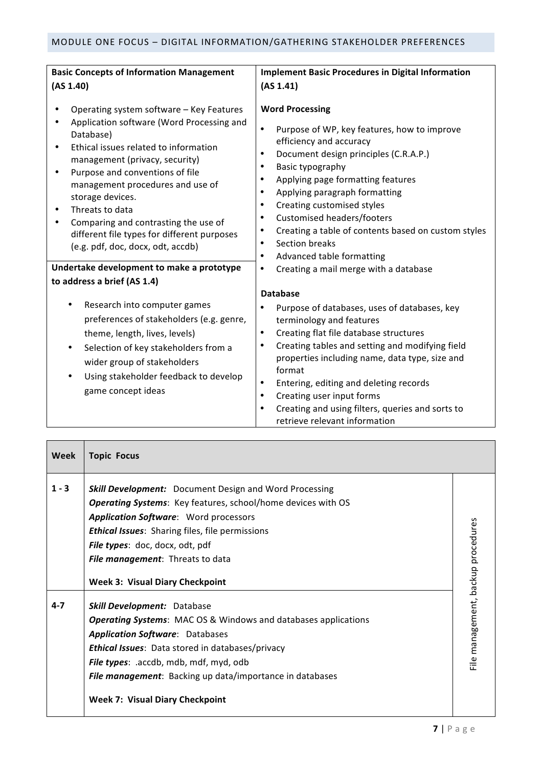| <b>Basic Concepts of Information Management</b>                                                                                                                                                                                                              | <b>Implement Basic Procedures in Digital Information</b>                                                                                                                                                                                                                                                                                                                                                                                                       |  |  |
|--------------------------------------------------------------------------------------------------------------------------------------------------------------------------------------------------------------------------------------------------------------|----------------------------------------------------------------------------------------------------------------------------------------------------------------------------------------------------------------------------------------------------------------------------------------------------------------------------------------------------------------------------------------------------------------------------------------------------------------|--|--|
| (AS 1.40)                                                                                                                                                                                                                                                    | (AS 1.41)                                                                                                                                                                                                                                                                                                                                                                                                                                                      |  |  |
| Operating system software - Key Features<br>Application software (Word Processing and<br>Database)<br>Ethical issues related to information<br>٠<br>management (privacy, security)<br>Purpose and conventions of file<br>$\bullet$                           | <b>Word Processing</b><br>$\bullet$<br>Purpose of WP, key features, how to improve<br>efficiency and accuracy<br>Document design principles (C.R.A.P.)<br>$\bullet$<br>Basic typography<br>$\bullet$                                                                                                                                                                                                                                                           |  |  |
| management procedures and use of<br>storage devices.<br>Threats to data<br>Comparing and contrasting the use of<br>different file types for different purposes<br>(e.g. pdf, doc, docx, odt, accdb)                                                          | Applying page formatting features<br>$\bullet$<br>Applying paragraph formatting<br>$\bullet$<br>Creating customised styles<br>$\bullet$<br><b>Customised headers/footers</b><br>٠<br>Creating a table of contents based on custom styles<br>$\bullet$<br>Section breaks<br>$\bullet$<br>Advanced table formatting<br>$\bullet$                                                                                                                                 |  |  |
| Undertake development to make a prototype                                                                                                                                                                                                                    | Creating a mail merge with a database<br>٠                                                                                                                                                                                                                                                                                                                                                                                                                     |  |  |
| to address a brief (AS 1.4)                                                                                                                                                                                                                                  |                                                                                                                                                                                                                                                                                                                                                                                                                                                                |  |  |
|                                                                                                                                                                                                                                                              | <b>Database</b>                                                                                                                                                                                                                                                                                                                                                                                                                                                |  |  |
| Research into computer games<br>preferences of stakeholders (e.g. genre,<br>theme, length, lives, levels)<br>Selection of key stakeholders from a<br>$\bullet$<br>wider group of stakeholders<br>Using stakeholder feedback to develop<br>game concept ideas | Purpose of databases, uses of databases, key<br>$\bullet$<br>terminology and features<br>Creating flat file database structures<br>$\bullet$<br>Creating tables and setting and modifying field<br>$\bullet$<br>properties including name, data type, size and<br>format<br>Entering, editing and deleting records<br>$\bullet$<br>Creating user input forms<br>$\bullet$<br>Creating and using filters, queries and sorts to<br>retrieve relevant information |  |  |

| Week    | <b>Topic Focus</b>                                                                                                                                                                                                                                                                                                            |                                              |
|---------|-------------------------------------------------------------------------------------------------------------------------------------------------------------------------------------------------------------------------------------------------------------------------------------------------------------------------------|----------------------------------------------|
| $1 - 3$ | <b>Skill Development:</b> Document Design and Word Processing<br>Operating Systems: Key features, school/home devices with OS<br><b>Application Software:</b> Word processors<br><b>Ethical Issues:</b> Sharing files, file permissions<br>File types: doc, docx, odt, pdf<br>File management: Threats to data                |                                              |
|         | <b>Week 3: Visual Diary Checkpoint</b>                                                                                                                                                                                                                                                                                        |                                              |
| $4 - 7$ | <b>Skill Development: Database</b><br><b>Operating Systems:</b> MAC OS & Windows and databases applications<br><b>Application Software: Databases</b><br><b>Ethical Issues:</b> Data stored in databases/privacy<br>File types: .accdb, mdb, mdf, myd, odb<br><b>File management:</b> Backing up data/importance in databases | management, backup procedures<br><b>Eile</b> |
|         | <b>Week 7: Visual Diary Checkpoint</b>                                                                                                                                                                                                                                                                                        |                                              |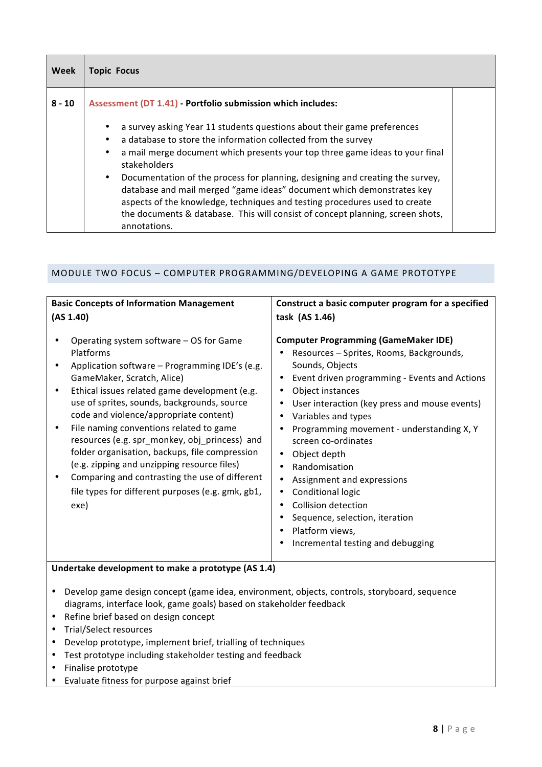| Week     | <b>Topic Focus</b>                                                                                                                                                                                                                                                                                                                                                                                                                                                                                                                                                                              |  |  |  |  |
|----------|-------------------------------------------------------------------------------------------------------------------------------------------------------------------------------------------------------------------------------------------------------------------------------------------------------------------------------------------------------------------------------------------------------------------------------------------------------------------------------------------------------------------------------------------------------------------------------------------------|--|--|--|--|
| $8 - 10$ | Assessment (DT 1.41) - Portfolio submission which includes:                                                                                                                                                                                                                                                                                                                                                                                                                                                                                                                                     |  |  |  |  |
|          | a survey asking Year 11 students questions about their game preferences<br>a database to store the information collected from the survey<br>a mail merge document which presents your top three game ideas to your final<br>stakeholders<br>Documentation of the process for planning, designing and creating the survey,<br>$\bullet$<br>database and mail merged "game ideas" document which demonstrates key<br>aspects of the knowledge, techniques and testing procedures used to create<br>the documents & database. This will consist of concept planning, screen shots,<br>annotations. |  |  |  |  |

## MODULE TWO FOCUS - COMPUTER PROGRAMMING/DEVELOPING A GAME PROTOTYPE

| <b>Basic Concepts of Information Management</b>                                                                                                                                                                                                                                                                                                                                                                                                                                                                                                                                            | Construct a basic computer program for a specified                                                                                                                                                                                                                                                                                                                                                                                                                                                                                                               |  |  |  |
|--------------------------------------------------------------------------------------------------------------------------------------------------------------------------------------------------------------------------------------------------------------------------------------------------------------------------------------------------------------------------------------------------------------------------------------------------------------------------------------------------------------------------------------------------------------------------------------------|------------------------------------------------------------------------------------------------------------------------------------------------------------------------------------------------------------------------------------------------------------------------------------------------------------------------------------------------------------------------------------------------------------------------------------------------------------------------------------------------------------------------------------------------------------------|--|--|--|
| (AS 1.40)                                                                                                                                                                                                                                                                                                                                                                                                                                                                                                                                                                                  | task (AS 1.46)                                                                                                                                                                                                                                                                                                                                                                                                                                                                                                                                                   |  |  |  |
| Operating system software - OS for Game<br>Platforms<br>Application software - Programming IDE's (e.g.<br>GameMaker, Scratch, Alice)<br>Ethical issues related game development (e.g.<br>use of sprites, sounds, backgrounds, source<br>code and violence/appropriate content)<br>File naming conventions related to game<br>resources (e.g. spr_monkey, obj_princess) and<br>folder organisation, backups, file compression<br>(e.g. zipping and unzipping resource files)<br>Comparing and contrasting the use of different<br>file types for different purposes (e.g. gmk, gb1,<br>exe) | <b>Computer Programming (GameMaker IDE)</b><br>Resources - Sprites, Rooms, Backgrounds,<br>Sounds, Objects<br>Event driven programming - Events and Actions<br>Object instances<br>User interaction (key press and mouse events)<br>Variables and types<br>$\bullet$<br>Programming movement - understanding X, Y<br>screen co-ordinates<br>Object depth<br>Randomisation<br>Assignment and expressions<br><b>Conditional logic</b><br><b>Collision detection</b><br>٠<br>Sequence, selection, iteration<br>Platform views,<br>Incremental testing and debugging |  |  |  |
| Undertake development to make a prototype (AS 1.4)                                                                                                                                                                                                                                                                                                                                                                                                                                                                                                                                         |                                                                                                                                                                                                                                                                                                                                                                                                                                                                                                                                                                  |  |  |  |
| Develop game design concept (game idea, environment, objects, controls, storyboard, sequence<br>$\bullet$<br>diagrams, interface look, game goals) based on stakeholder feedback<br>Refine brief based on design concept                                                                                                                                                                                                                                                                                                                                                                   |                                                                                                                                                                                                                                                                                                                                                                                                                                                                                                                                                                  |  |  |  |

- Trial/Select resources
- Develop prototype, implement brief, trialling of techniques
- Test prototype including stakeholder testing and feedback
- Finalise prototype
- Evaluate fitness for purpose against brief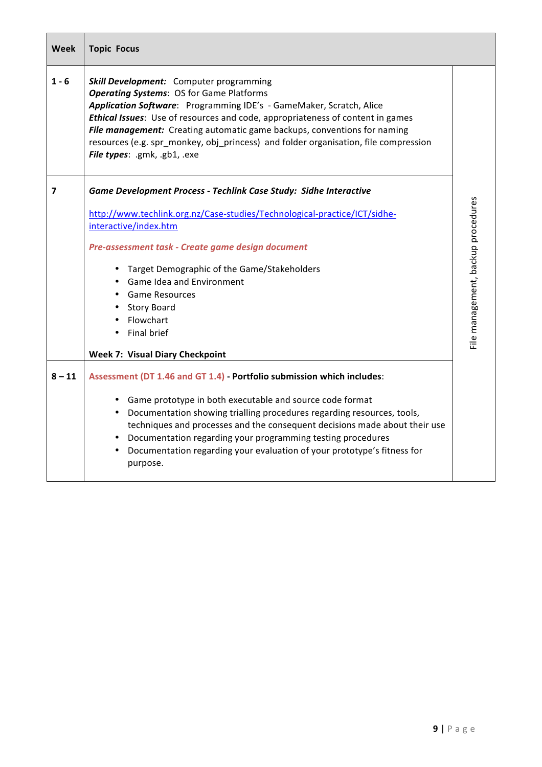| <b>Week</b> | <b>Topic Focus</b>                                                                                                                                                                                                                                                                                                                                                                                                                                     |                                    |  |  |  |
|-------------|--------------------------------------------------------------------------------------------------------------------------------------------------------------------------------------------------------------------------------------------------------------------------------------------------------------------------------------------------------------------------------------------------------------------------------------------------------|------------------------------------|--|--|--|
| $1 - 6$     | Skill Development: Computer programming<br><b>Operating Systems: OS for Game Platforms</b><br>Application Software: Programming IDE's - GameMaker, Scratch, Alice<br>Ethical Issues: Use of resources and code, appropriateness of content in games<br>File management: Creating automatic game backups, conventions for naming<br>resources (e.g. spr monkey, obj princess) and folder organisation, file compression<br>File types: .gmk, .gb1, .exe |                                    |  |  |  |
| 7           | Game Development Process - Techlink Case Study: Sidhe Interactive                                                                                                                                                                                                                                                                                                                                                                                      |                                    |  |  |  |
|             | http://www.techlink.org.nz/Case-studies/Technological-practice/ICT/sidhe-                                                                                                                                                                                                                                                                                                                                                                              |                                    |  |  |  |
|             | interactive/index.htm                                                                                                                                                                                                                                                                                                                                                                                                                                  | File management, backup procedures |  |  |  |
|             | Pre-assessment task - Create game design document                                                                                                                                                                                                                                                                                                                                                                                                      |                                    |  |  |  |
|             | • Target Demographic of the Game/Stakeholders                                                                                                                                                                                                                                                                                                                                                                                                          |                                    |  |  |  |
|             | • Game Idea and Environment                                                                                                                                                                                                                                                                                                                                                                                                                            |                                    |  |  |  |
|             | <b>Game Resources</b>                                                                                                                                                                                                                                                                                                                                                                                                                                  |                                    |  |  |  |
|             | <b>Story Board</b>                                                                                                                                                                                                                                                                                                                                                                                                                                     |                                    |  |  |  |
|             | Flowchart                                                                                                                                                                                                                                                                                                                                                                                                                                              |                                    |  |  |  |
|             | Final brief                                                                                                                                                                                                                                                                                                                                                                                                                                            |                                    |  |  |  |
|             | <b>Week 7: Visual Diary Checkpoint</b>                                                                                                                                                                                                                                                                                                                                                                                                                 |                                    |  |  |  |
| $8 - 11$    | Assessment (DT 1.46 and GT 1.4) - Portfolio submission which includes:                                                                                                                                                                                                                                                                                                                                                                                 |                                    |  |  |  |
|             | Game prototype in both executable and source code format                                                                                                                                                                                                                                                                                                                                                                                               |                                    |  |  |  |
|             | Documentation showing trialling procedures regarding resources, tools,                                                                                                                                                                                                                                                                                                                                                                                 |                                    |  |  |  |
|             | techniques and processes and the consequent decisions made about their use                                                                                                                                                                                                                                                                                                                                                                             |                                    |  |  |  |
|             | Documentation regarding your programming testing procedures                                                                                                                                                                                                                                                                                                                                                                                            |                                    |  |  |  |
|             | Documentation regarding your evaluation of your prototype's fitness for<br>purpose.                                                                                                                                                                                                                                                                                                                                                                    |                                    |  |  |  |

 $\mathbf l$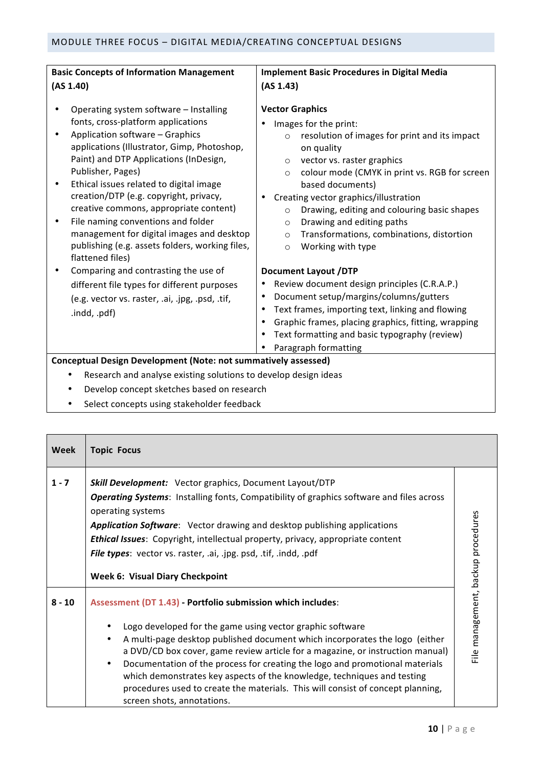| <b>Basic Concepts of Information Management</b>                                                                                                                                                                                                                                                                                                                                                                                                                           | <b>Implement Basic Procedures in Digital Media</b>                                                                                                                                                                                                                                                                                                                                                                                                    |  |  |  |
|---------------------------------------------------------------------------------------------------------------------------------------------------------------------------------------------------------------------------------------------------------------------------------------------------------------------------------------------------------------------------------------------------------------------------------------------------------------------------|-------------------------------------------------------------------------------------------------------------------------------------------------------------------------------------------------------------------------------------------------------------------------------------------------------------------------------------------------------------------------------------------------------------------------------------------------------|--|--|--|
| (AS 1.40)                                                                                                                                                                                                                                                                                                                                                                                                                                                                 | (AS 1.43)                                                                                                                                                                                                                                                                                                                                                                                                                                             |  |  |  |
| Operating system software - Installing<br>fonts, cross-platform applications<br>Application software - Graphics<br>applications (Illustrator, Gimp, Photoshop,<br>Paint) and DTP Applications (InDesign,<br>Publisher, Pages)<br>Ethical issues related to digital image<br>$\bullet$<br>creation/DTP (e.g. copyright, privacy,<br>creative commons, appropriate content)<br>File naming conventions and folder<br>$\bullet$<br>management for digital images and desktop | <b>Vector Graphics</b><br>Images for the print:<br>resolution of images for print and its impact<br>$\circ$<br>on quality<br>vector vs. raster graphics<br>$\circ$<br>colour mode (CMYK in print vs. RGB for screen<br>$\circ$<br>based documents)<br>Creating vector graphics/illustration<br>Drawing, editing and colouring basic shapes<br>$\circ$<br>Drawing and editing paths<br>$\circ$<br>Transformations, combinations, distortion<br>$\circ$ |  |  |  |
| publishing (e.g. assets folders, working files,<br>flattened files)                                                                                                                                                                                                                                                                                                                                                                                                       | Working with type<br>$\circ$                                                                                                                                                                                                                                                                                                                                                                                                                          |  |  |  |
| Comparing and contrasting the use of<br>different file types for different purposes<br>(e.g. vector vs. raster, .ai, .jpg, .psd, .tif,<br>.indd, .pdf)                                                                                                                                                                                                                                                                                                                    | <b>Document Layout /DTP</b><br>Review document design principles (C.R.A.P.)<br>Document setup/margins/columns/gutters<br>Text frames, importing text, linking and flowing<br>Graphic frames, placing graphics, fitting, wrapping<br>Text formatting and basic typography (review)<br>Paragraph formatting                                                                                                                                             |  |  |  |
| <b>Conceptual Design Development (Note: not summatively assessed)</b>                                                                                                                                                                                                                                                                                                                                                                                                     |                                                                                                                                                                                                                                                                                                                                                                                                                                                       |  |  |  |
| Research and analyse existing solutions to develop design ideas                                                                                                                                                                                                                                                                                                                                                                                                           |                                                                                                                                                                                                                                                                                                                                                                                                                                                       |  |  |  |
| Develop concept sketches based on research                                                                                                                                                                                                                                                                                                                                                                                                                                |                                                                                                                                                                                                                                                                                                                                                                                                                                                       |  |  |  |

• Select concepts using stakeholder feedback

| <b>Week</b> | <b>Topic Focus</b>                                                                                                                                                                                                                                                                                                                                                                                                                                                                                                                                                                              |                                    |
|-------------|-------------------------------------------------------------------------------------------------------------------------------------------------------------------------------------------------------------------------------------------------------------------------------------------------------------------------------------------------------------------------------------------------------------------------------------------------------------------------------------------------------------------------------------------------------------------------------------------------|------------------------------------|
| $1 - 7$     | Skill Development: Vector graphics, Document Layout/DTP<br><b>Operating Systems:</b> Installing fonts, Compatibility of graphics software and files across<br>operating systems<br><b>Application Software:</b> Vector drawing and desktop publishing applications<br>Ethical Issues: Copyright, intellectual property, privacy, appropriate content<br>File types: vector vs. raster, .ai, .jpg. psd, .tif, .indd, .pdf<br><b>Week 6: Visual Diary Checkpoint</b>                                                                                                                              |                                    |
| $8 - 10$    | Assessment (DT 1.43) - Portfolio submission which includes:<br>Logo developed for the game using vector graphic software<br>A multi-page desktop published document which incorporates the logo (either<br>$\bullet$<br>a DVD/CD box cover, game review article for a magazine, or instruction manual)<br>Documentation of the process for creating the logo and promotional materials<br>$\bullet$<br>which demonstrates key aspects of the knowledge, techniques and testing<br>procedures used to create the materials. This will consist of concept planning,<br>screen shots, annotations. | File management, backup procedures |